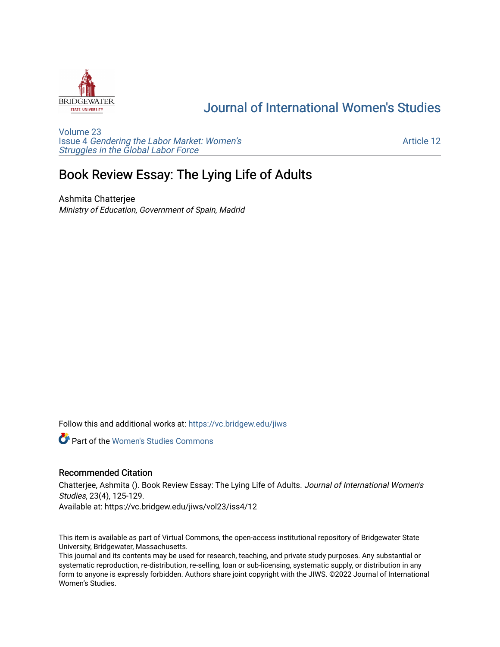

## [Journal of International Women's Studies](https://vc.bridgew.edu/jiws)

[Volume 23](https://vc.bridgew.edu/jiws/vol23) Issue 4 [Gendering the Labor Market: Women's](https://vc.bridgew.edu/jiws/vol23/iss4) [Struggles in the Global Labor Force](https://vc.bridgew.edu/jiws/vol23/iss4)

[Article 12](https://vc.bridgew.edu/jiws/vol23/iss4/12) 

# Book Review Essay: The Lying Life of Adults

Ashmita Chatterjee Ministry of Education, Government of Spain, Madrid

Follow this and additional works at: [https://vc.bridgew.edu/jiws](https://vc.bridgew.edu/jiws?utm_source=vc.bridgew.edu%2Fjiws%2Fvol23%2Fiss4%2F12&utm_medium=PDF&utm_campaign=PDFCoverPages)

**C** Part of the Women's Studies Commons

#### Recommended Citation

Chatterjee, Ashmita (). Book Review Essay: The Lying Life of Adults. Journal of International Women's Studies, 23(4), 125-129.

Available at: https://vc.bridgew.edu/jiws/vol23/iss4/12

This item is available as part of Virtual Commons, the open-access institutional repository of Bridgewater State University, Bridgewater, Massachusetts.

This journal and its contents may be used for research, teaching, and private study purposes. Any substantial or systematic reproduction, re-distribution, re-selling, loan or sub-licensing, systematic supply, or distribution in any form to anyone is expressly forbidden. Authors share joint copyright with the JIWS. ©2022 Journal of International Women's Studies.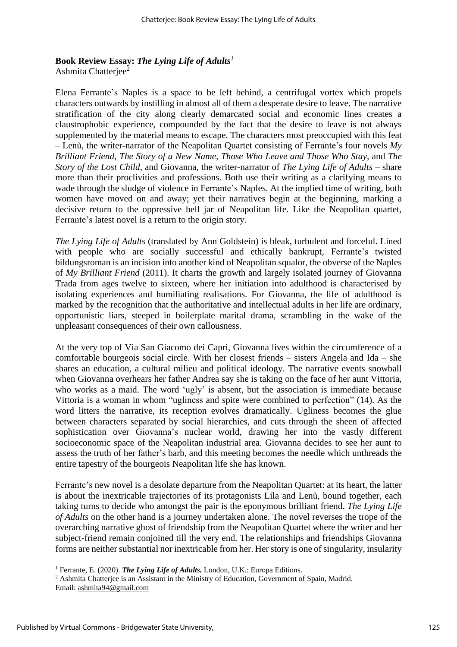## **Book Review Essay:** *The Lying Life of Adults<sup>1</sup>*

Ashmita Chatterjee<sup>2</sup>

Elena Ferrante's Naples is a space to be left behind, a centrifugal vortex which propels characters outwards by instilling in almost all of them a desperate desire to leave. The narrative stratification of the city along clearly demarcated social and economic lines creates a claustrophobic experience, compounded by the fact that the desire to leave is not always supplemented by the material means to escape. The characters most preoccupied with this feat – Lenù, the writer-narrator of the Neapolitan Quartet consisting of Ferrante's four novels *My Brilliant Friend, The Story of a New Name, Those Who Leave and Those Who Stay,* and *The Story of the Lost Child*, and Giovanna, the writer-narrator of *The Lying Life of Adults* – share more than their proclivities and professions. Both use their writing as a clarifying means to wade through the sludge of violence in Ferrante's Naples. At the implied time of writing, both women have moved on and away; yet their narratives begin at the beginning, marking a decisive return to the oppressive bell jar of Neapolitan life. Like the Neapolitan quartet, Ferrante's latest novel is a return to the origin story.

*The Lying Life of Adults* (translated by Ann Goldstein) is bleak, turbulent and forceful. Lined with people who are socially successful and ethically bankrupt, Ferrante's twisted bildungsroman is an incision into another kind of Neapolitan squalor, the obverse of the Naples of *My Brilliant Friend* (2011). It charts the growth and largely isolated journey of Giovanna Trada from ages twelve to sixteen, where her initiation into adulthood is characterised by isolating experiences and humiliating realisations. For Giovanna, the life of adulthood is marked by the recognition that the authoritative and intellectual adults in her life are ordinary, opportunistic liars, steeped in boilerplate marital drama, scrambling in the wake of the unpleasant consequences of their own callousness.

At the very top of Via San Giacomo dei Capri, Giovanna lives within the circumference of a comfortable bourgeois social circle. With her closest friends – sisters Angela and Ida – she shares an education, a cultural milieu and political ideology. The narrative events snowball when Giovanna overhears her father Andrea say she is taking on the face of her aunt Vittoria, who works as a maid. The word 'ugly' is absent, but the association is immediate because Vittoria is a woman in whom "ugliness and spite were combined to perfection" (14). As the word litters the narrative, its reception evolves dramatically. Ugliness becomes the glue between characters separated by social hierarchies, and cuts through the sheen of affected sophistication over Giovanna's nuclear world, drawing her into the vastly different socioeconomic space of the Neapolitan industrial area. Giovanna decides to see her aunt to assess the truth of her father's barb, and this meeting becomes the needle which unthreads the entire tapestry of the bourgeois Neapolitan life she has known.

Ferrante's new novel is a desolate departure from the Neapolitan Quartet: at its heart, the latter is about the inextricable trajectories of its protagonists Lila and Lenù, bound together, each taking turns to decide who amongst the pair is the eponymous brilliant friend. *The Lying Life of Adults* on the other hand is a journey undertaken alone. The novel reverses the trope of the overarching narrative ghost of friendship from the Neapolitan Quartet where the writer and her subject-friend remain conjoined till the very end. The relationships and friendships Giovanna forms are neither substantial nor inextricable from her. Her story is one of singularity, insularity

<sup>1</sup> Ferrante, E. (2020). *The Lying Life of Adults.* London, U.K.: Europa Editions.

<sup>&</sup>lt;sup>2</sup> Ashmita Chatterjee is an Assistant in the Ministry of Education, Government of Spain, Madrid. Email: [ashmita94@gmail.com](mailto:ashmita94@gmail.com)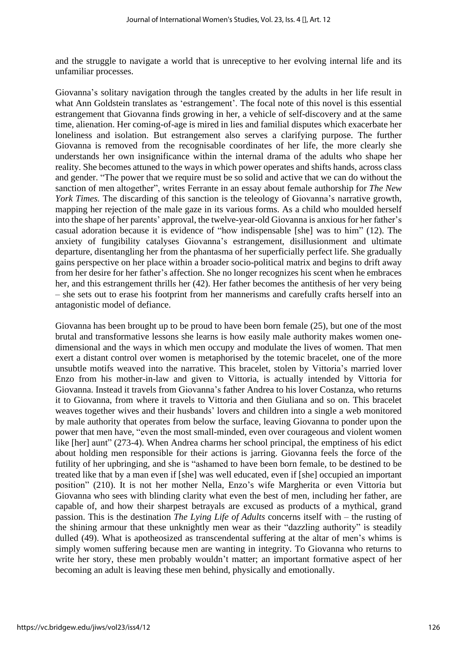and the struggle to navigate a world that is unreceptive to her evolving internal life and its unfamiliar processes.

Giovanna's solitary navigation through the tangles created by the adults in her life result in what Ann Goldstein translates as 'estrangement'. The focal note of this novel is this essential estrangement that Giovanna finds growing in her, a vehicle of self-discovery and at the same time, alienation. Her coming-of-age is mired in lies and familial disputes which exacerbate her loneliness and isolation. But estrangement also serves a clarifying purpose. The further Giovanna is removed from the recognisable coordinates of her life, the more clearly she understands her own insignificance within the internal drama of the adults who shape her reality. She becomes attuned to the ways in which power operates and shifts hands, across class and gender. "The power that we require must be so solid and active that we can do without the sanction of men altogether", writes Ferrante in an essay about female authorship for *The New York Times.* The discarding of this sanction is the teleology of Giovanna's narrative growth, mapping her rejection of the male gaze in its various forms. As a child who moulded herself into the shape of her parents' approval, the twelve-year-old Giovanna is anxious for her father's casual adoration because it is evidence of "how indispensable [she] was to him" (12). The anxiety of fungibility catalyses Giovanna's estrangement, disillusionment and ultimate departure, disentangling her from the phantasma of her superficially perfect life. She gradually gains perspective on her place within a broader socio-political matrix and begins to drift away from her desire for her father's affection. She no longer recognizes his scent when he embraces her, and this estrangement thrills her (42). Her father becomes the antithesis of her very being – she sets out to erase his footprint from her mannerisms and carefully crafts herself into an antagonistic model of defiance.

Giovanna has been brought up to be proud to have been born female (25), but one of the most brutal and transformative lessons she learns is how easily male authority makes women onedimensional and the ways in which men occupy and modulate the lives of women. That men exert a distant control over women is metaphorised by the totemic bracelet, one of the more unsubtle motifs weaved into the narrative. This bracelet, stolen by Vittoria's married lover Enzo from his mother-in-law and given to Vittoria, is actually intended by Vittoria for Giovanna. Instead it travels from Giovanna's father Andrea to his lover Costanza, who returns it to Giovanna, from where it travels to Vittoria and then Giuliana and so on. This bracelet weaves together wives and their husbands' lovers and children into a single a web monitored by male authority that operates from below the surface, leaving Giovanna to ponder upon the power that men have, "even the most small-minded, even over courageous and violent women like [her] aunt" (273-4). When Andrea charms her school principal, the emptiness of his edict about holding men responsible for their actions is jarring. Giovanna feels the force of the futility of her upbringing, and she is "ashamed to have been born female, to be destined to be treated like that by a man even if [she] was well educated, even if [she] occupied an important position" (210). It is not her mother Nella, Enzo's wife Margherita or even Vittoria but Giovanna who sees with blinding clarity what even the best of men, including her father, are capable of, and how their sharpest betrayals are excused as products of a mythical, grand passion. This is the destination *The Lying Life of Adults* concerns itself with – the rusting of the shining armour that these unknightly men wear as their "dazzling authority" is steadily dulled (49). What is apotheosized as transcendental suffering at the altar of men's whims is simply women suffering because men are wanting in integrity. To Giovanna who returns to write her story, these men probably wouldn't matter; an important formative aspect of her becoming an adult is leaving these men behind, physically and emotionally.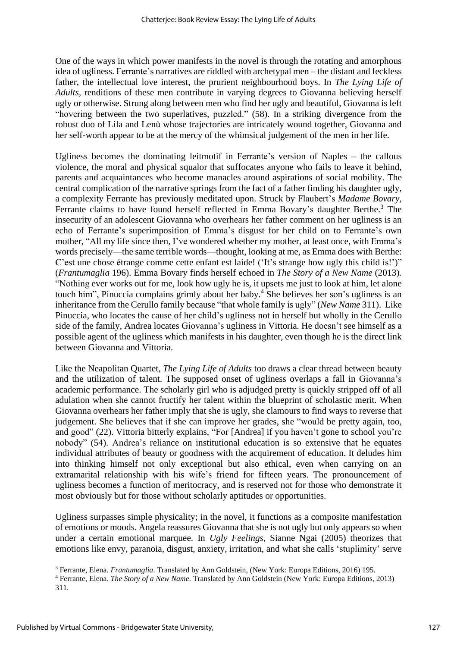One of the ways in which power manifests in the novel is through the rotating and amorphous idea of ugliness. Ferrante's narratives are riddled with archetypal men – the distant and feckless father, the intellectual love interest, the prurient neighbourhood boys. In *The Lying Life of Adults,* renditions of these men contribute in varying degrees to Giovanna believing herself ugly or otherwise. Strung along between men who find her ugly and beautiful, Giovanna is left "hovering between the two superlatives, puzzled." (58). In a striking divergence from the robust duo of Lila and Lenù whose trajectories are intricately wound together, Giovanna and her self-worth appear to be at the mercy of the whimsical judgement of the men in her life.

Ugliness becomes the dominating leitmotif in Ferrante's version of Naples – the callous violence, the moral and physical squalor that suffocates anyone who fails to leave it behind, parents and acquaintances who become manacles around aspirations of social mobility. The central complication of the narrative springs from the fact of a father finding his daughter ugly, a complexity Ferrante has previously meditated upon. Struck by Flaubert's *Madame Bovary,* Ferrante claims to have found herself reflected in Emma Bovary's daughter Berthe.<sup>3</sup> The insecurity of an adolescent Giovanna who overhears her father comment on her ugliness is an echo of Ferrante's superimposition of Emma's disgust for her child on to Ferrante's own mother, "All my life since then, I've wondered whether my mother, at least once, with Emma's words precisely—the same terrible words—thought, looking at me, as Emma does with Berthe: C'est une chose étrange comme cette enfant est laide! ('It's strange how ugly this child is!')" (*Frantumaglia* 196). Emma Bovary finds herself echoed in *The Story of a New Name* (2013)*.* "Nothing ever works out for me, look how ugly he is, it upsets me just to look at him, let alone touch him", Pinuccia complains grimly about her baby.<sup>4</sup> She believes her son's ugliness is an inheritance from the Cerullo family because "that whole family is ugly" (*New Name* 311). Like Pinuccia, who locates the cause of her child's ugliness not in herself but wholly in the Cerullo side of the family, Andrea locates Giovanna's ugliness in Vittoria. He doesn't see himself as a possible agent of the ugliness which manifests in his daughter, even though he is the direct link between Giovanna and Vittoria.

Like the Neapolitan Quartet, *The Lying Life of Adults* too draws a clear thread between beauty and the utilization of talent. The supposed onset of ugliness overlaps a fall in Giovanna's academic performance. The scholarly girl who is adjudged pretty is quickly stripped off of all adulation when she cannot fructify her talent within the blueprint of scholastic merit. When Giovanna overhears her father imply that she is ugly, she clamours to find ways to reverse that judgement. She believes that if she can improve her grades, she "would be pretty again, too, and good" (22). Vittoria bitterly explains, "For [Andrea] if you haven't gone to school you're nobody" (54). Andrea's reliance on institutional education is so extensive that he equates individual attributes of beauty or goodness with the acquirement of education. It deludes him into thinking himself not only exceptional but also ethical, even when carrying on an extramarital relationship with his wife's friend for fifteen years. The pronouncement of ugliness becomes a function of meritocracy, and is reserved not for those who demonstrate it most obviously but for those without scholarly aptitudes or opportunities.

Ugliness surpasses simple physicality; in the novel, it functions as a composite manifestation of emotions or moods. Angela reassures Giovanna that she is not ugly but only appears so when under a certain emotional marquee. In *Ugly Feelings,* Sianne Ngai (2005) theorizes that emotions like envy, paranoia, disgust, anxiety, irritation, and what she calls 'stuplimity' serve

<sup>3</sup> Ferrante, Elena. *Frantumaglia*. Translated by Ann Goldstein, (New York: Europa Editions, 2016) 195.

<sup>4</sup> Ferrante, Elena. *The Story of a New Name*. Translated by Ann Goldstein (New York: Europa Editions, 2013) 311.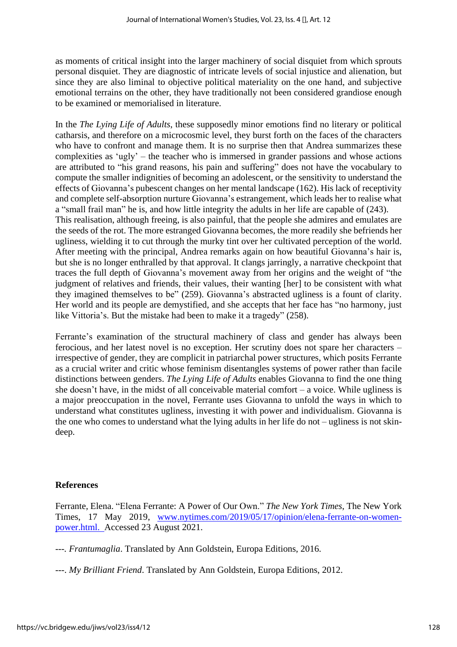as moments of critical insight into the larger machinery of social disquiet from which sprouts personal disquiet. They are diagnostic of intricate levels of social injustice and alienation, but since they are also liminal to objective political materiality on the one hand, and subjective emotional terrains on the other, they have traditionally not been considered grandiose enough to be examined or memorialised in literature.

In the *The Lying Life of Adults*, these supposedly minor emotions find no literary or political catharsis, and therefore on a microcosmic level, they burst forth on the faces of the characters who have to confront and manage them. It is no surprise then that Andrea summarizes these complexities as 'ugly' – the teacher who is immersed in grander passions and whose actions are attributed to "his grand reasons, his pain and suffering" does not have the vocabulary to compute the smaller indignities of becoming an adolescent, or the sensitivity to understand the effects of Giovanna's pubescent changes on her mental landscape (162). His lack of receptivity and complete self-absorption nurture Giovanna's estrangement, which leads her to realise what a "small frail man" he is, and how little integrity the adults in her life are capable of (243). This realisation, although freeing, is also painful, that the people she admires and emulates are the seeds of the rot. The more estranged Giovanna becomes, the more readily she befriends her ugliness, wielding it to cut through the murky tint over her cultivated perception of the world. After meeting with the principal, Andrea remarks again on how beautiful Giovanna's hair is, but she is no longer enthralled by that approval. It clangs jarringly, a narrative checkpoint that traces the full depth of Giovanna's movement away from her origins and the weight of "the judgment of relatives and friends, their values, their wanting [her] to be consistent with what they imagined themselves to be" (259). Giovanna's abstracted ugliness is a fount of clarity. Her world and its people are demystified, and she accepts that her face has "no harmony, just like Vittoria's. But the mistake had been to make it a tragedy" (258).

Ferrante's examination of the structural machinery of class and gender has always been ferocious, and her latest novel is no exception. Her scrutiny does not spare her characters – irrespective of gender, they are complicit in patriarchal power structures, which posits Ferrante as a crucial writer and critic whose feminism disentangles systems of power rather than facile distinctions between genders. *The Lying Life of Adults* enables Giovanna to find the one thing she doesn't have, in the midst of all conceivable material comfort – a voice. While ugliness is a major preoccupation in the novel, Ferrante uses Giovanna to unfold the ways in which to understand what constitutes ugliness, investing it with power and individualism. Giovanna is the one who comes to understand what the lying adults in her life do not – ugliness is not skindeep.

### **References**

Ferrante, Elena. "Elena Ferrante: A Power of Our Own." *The New York Times*, The New York Times, 17 May 2019, [www.nytimes.com/2019/05/17/opinion/elena-ferrante-on-women](http://www.nytimes.com/2019/05/17/opinion/elena-ferrante-on-women-power.html.%2520Accessed%252023%2520August%25202021)[power.html. A](http://www.nytimes.com/2019/05/17/opinion/elena-ferrante-on-women-power.html.%2520Accessed%252023%2520August%25202021)ccessed 23 August 2021.

*---. Frantumaglia*. Translated by Ann Goldstein, Europa Editions, 2016.

---. *My Brilliant Friend*. Translated by Ann Goldstein, Europa Editions, 2012.